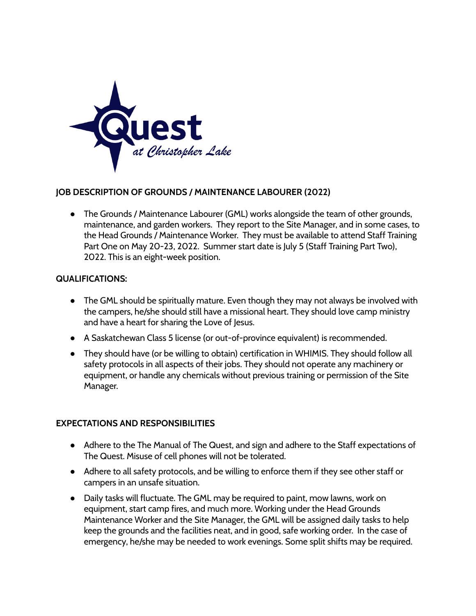

## **JOB DESCRIPTION OF GROUNDS / MAINTENANCE LABOURER (2022)**

● The Grounds / Maintenance Labourer (GML) works alongside the team of other grounds, maintenance, and garden workers. They report to the Site Manager, and in some cases, to the Head Grounds / Maintenance Worker. They must be available to attend Staff Training Part One on May 20-23, 2022. Summer start date is July 5 (Staff Training Part Two), 2022. This is an eight-week position.

## **QUALIFICATIONS:**

- The GML should be spiritually mature. Even though they may not always be involved with the campers, he/she should still have a missional heart. They should love camp ministry and have a heart for sharing the Love of Jesus.
- A Saskatchewan Class 5 license (or out-of-province equivalent) is recommended.
- They should have (or be willing to obtain) certification in WHIMIS. They should follow all safety protocols in all aspects of their jobs. They should not operate any machinery or equipment, or handle any chemicals without previous training or permission of the Site Manager.

## **EXPECTATIONS AND RESPONSIBILITIES**

- Adhere to the The Manual of The Quest, and sign and adhere to the Staff expectations of The Quest. Misuse of cell phones will not be tolerated.
- Adhere to all safety protocols, and be willing to enforce them if they see other staff or campers in an unsafe situation.
- Daily tasks will fluctuate. The GML may be required to paint, mow lawns, work on equipment, start camp fires, and much more. Working under the Head Grounds Maintenance Worker and the Site Manager, the GML will be assigned daily tasks to help keep the grounds and the facilities neat, and in good, safe working order. In the case of emergency, he/she may be needed to work evenings. Some split shifts may be required.